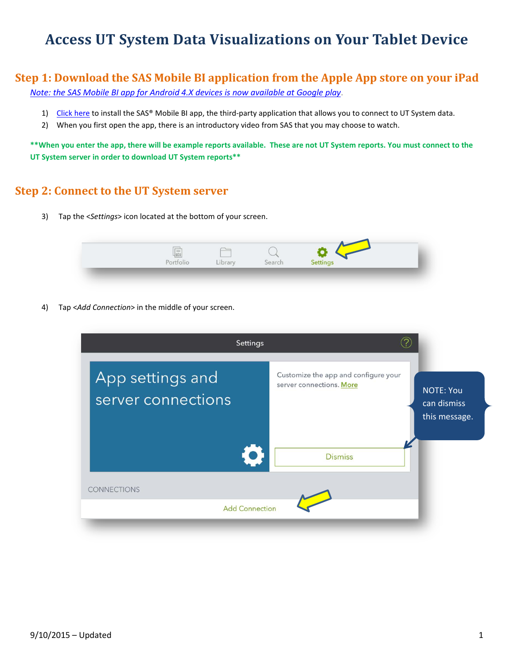## **Access UT System Data Visualizations on Your Tablet Device**

## **Step 1: Download the SAS Mobile BI application from the Apple App store on your iPad**

*[Note: the SAS Mobile BI app for Android 4.X devices is now available at Google play](https://play.google.com/store/apps/details?id=com.sas.android.bimobile&hl=en)*.

- 1) [Click here](https://itunes.apple.com/us/app/sas-mobile-bi/id511030524?mt=8&uo=4) to install the SAS® Mobile BI app, the third-party application that allows you to connect to UT System data.
- 2) When you first open the app, there is an introductory video from SAS that you may choose to watch.

**\*\*When you enter the app, there will be example reports available. These are not UT System reports. You must connect to the UT System server in order to download UT System reports\*\***

## **Step 2: Connect to the UT System server**

3) Tap the <*Settings*> icon located at the bottom of your screen.

|  | nnr |  |  |  |  |
|--|-----|--|--|--|--|
|--|-----|--|--|--|--|

4) Tap <*Add Connection*> in the middle of your screen.

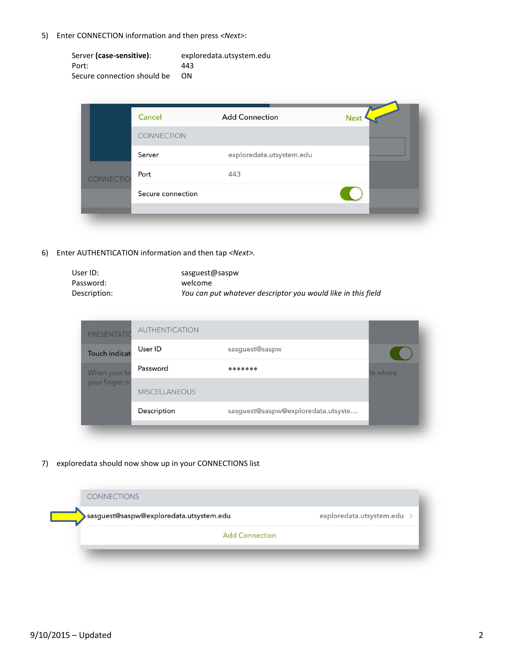5) Enter CONNECTION information and then press *<Next>*:

| Server (case-sensitive):    | exploredata.utsystem.edu |
|-----------------------------|--------------------------|
| Port:                       | 443                      |
| Secure connection should be | ΩN                       |

| Cancel            | <b>Add Connection</b>    | <b>Next</b> |
|-------------------|--------------------------|-------------|
| CONNECTION        |                          |             |
| Server            | exploredata.utsystem.edu |             |
| Port<br>CONNECTIO | 443                      |             |
| Secure connection |                          |             |
|                   |                          |             |

6) Enter AUTHENTICATION information and then tap *<Next>.*

| User ID:     | sasguest@saspw                                               |
|--------------|--------------------------------------------------------------|
| Password:    | welcome                                                      |
| Description: | You can put whatever descriptor you would like in this field |

| PRESENTATIO    | <b>AUTHENTICATION</b> |                                    |          |
|----------------|-----------------------|------------------------------------|----------|
| Touch indicat  | User ID               | sasguest@saspw                     |          |
| When your ta   | Password              | 00000000                           | te where |
| your finger is | <b>MISCELLANEOUS</b>  |                                    |          |
|                | Description           | sasguest@saspw@exploredata.utsyste |          |
|                |                       |                                    |          |

7) exploredata should now show up in your CONNECTIONS list

| <b>CONNECTIONS</b>                      |                            |
|-----------------------------------------|----------------------------|
| sasguest@saspw@exploredata.utsystem.edu | exploredata.utsystem.edu > |
| <b>Add Connection</b>                   |                            |
|                                         |                            |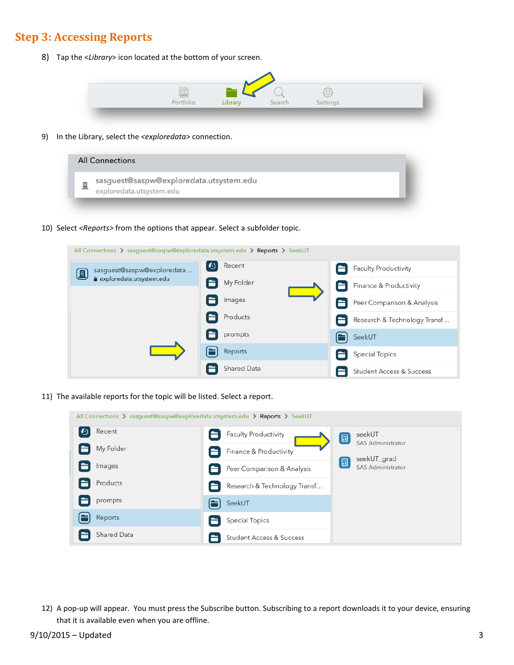## **Step 3: Accessing Reports**

8) Tap the <*Library*> icon located at the bottom of your screen.



9) In the Library, select the *<exploredata>* connection.

| <b>All Connections</b>                                              |  |
|---------------------------------------------------------------------|--|
| sasguest@saspw@exploredata.utsystem.edu<br>exploredata.utsystem.edu |  |

10) Select *<Reports>* from the options that appear. Select a subfolder topic.

All Connections > sasguest@saspw@exploredata.utsystem.edu > Reports > SeekUT Recent  $|\mathbf{\Theta}|$ Faculty Productivity sasguest@saspw@exploredata... 圓 exploredata.utsystem.edu My Folder Finance & Productivity Images Peer Comparison & Analysis Ħ Products Research & Technology Transf... E prompts Æ SeekUT Reports **Special Topics** 6 Shared Data E A Student Access & Success

11) The available reports for the topic will be listed. Select a report.

| All Connections > sasguest@saspw@exploredata.utsystem.edu > Reports > SeekUT |                              |                                         |
|------------------------------------------------------------------------------|------------------------------|-----------------------------------------|
| $\boldsymbol{\omega}$<br>Recent                                              | Faculty Productivity         | seekUT<br>圓<br><b>SAS Administrator</b> |
| My Folder                                                                    | Finance & Productivity       | seekUT_grad                             |
| Images                                                                       | Peer Comparison & Analysis   | [6]<br>SAS Administrator                |
| Products                                                                     | Research & Technology Transf |                                         |
| prompts                                                                      | SeekUT                       |                                         |
| Reports                                                                      | Special Topics               |                                         |
| Shared Data                                                                  | Student Access & Success     |                                         |

12) A pop-up will appear. You must press the Subscribe button. Subscribing to a report downloads it to your device, ensuring that it is available even when you are offline.